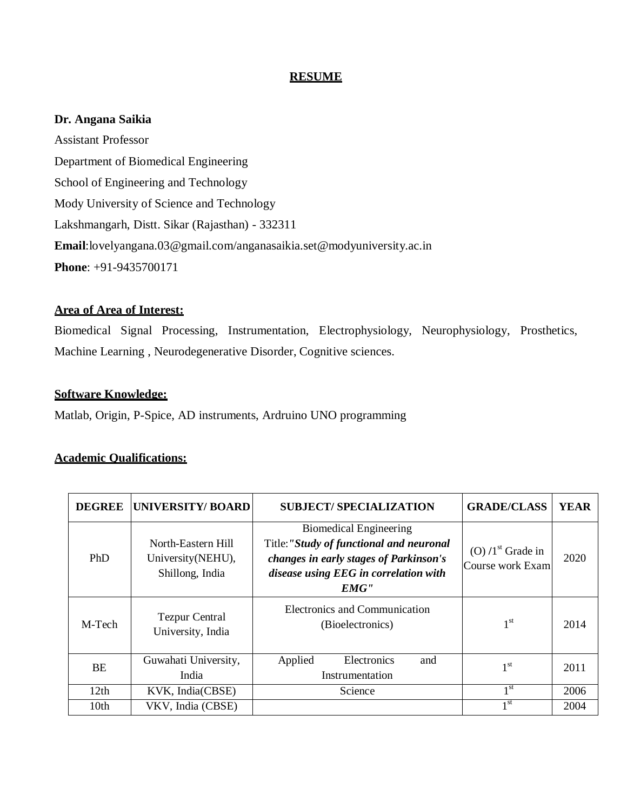## **RESUME**

### **Dr. Angana Saikia**

Assistant Professor Department of Biomedical Engineering School of Engineering and Technology Mody University of Science and Technology Lakshmangarh, Distt. Sikar (Rajasthan) - 332311 **Email**[:lovelyangana.03@gmail.com/](mailto:lovelyangana.03@gmail.com)anganasaikia.set@modyuniversity.ac.in **Phone**: +91-9435700171

## **Area of Area of Interest:**

Biomedical Signal Processing, Instrumentation, Electrophysiology, Neurophysiology, Prosthetics, Machine Learning , Neurodegenerative Disorder, Cognitive sciences.

### **Software Knowledge:**

Matlab, Origin, P-Spice, AD instruments, Ardruino UNO programming

## **Academic Qualifications:**

| <b>DEGREE</b>    | <b>UNIVERSITY/ BOARD</b>                                    | <b>SUBJECT/SPECIALIZATION</b>                                                                                                                                        | <b>GRADE/CLASS</b>                       | <b>YEAR</b> |
|------------------|-------------------------------------------------------------|----------------------------------------------------------------------------------------------------------------------------------------------------------------------|------------------------------------------|-------------|
| <b>PhD</b>       | North-Eastern Hill<br>University (NEHU),<br>Shillong, India | <b>Biomedical Engineering</b><br>Title:"Study of functional and neuronal<br>changes in early stages of Parkinson's<br>disease using EEG in correlation with<br>EMG'' | $(O) / 1st$ Grade in<br>Course work Exam | 2020        |
| M-Tech           | <b>Tezpur Central</b><br>University, India                  | Electronics and Communication<br>(Bioelectronics)                                                                                                                    | 1 <sup>st</sup>                          | 2014        |
| <b>BE</b>        | Guwahati University,<br>India                               | Electronics<br>Applied<br>and<br>Instrumentation                                                                                                                     | 1 <sup>st</sup>                          | 2011        |
| 12th             | KVK, India(CBSE)                                            | Science                                                                                                                                                              | 1 <sup>st</sup>                          | 2006        |
| 10 <sub>th</sub> | VKV, India (CBSE)                                           |                                                                                                                                                                      | 1 <sup>st</sup>                          | 2004        |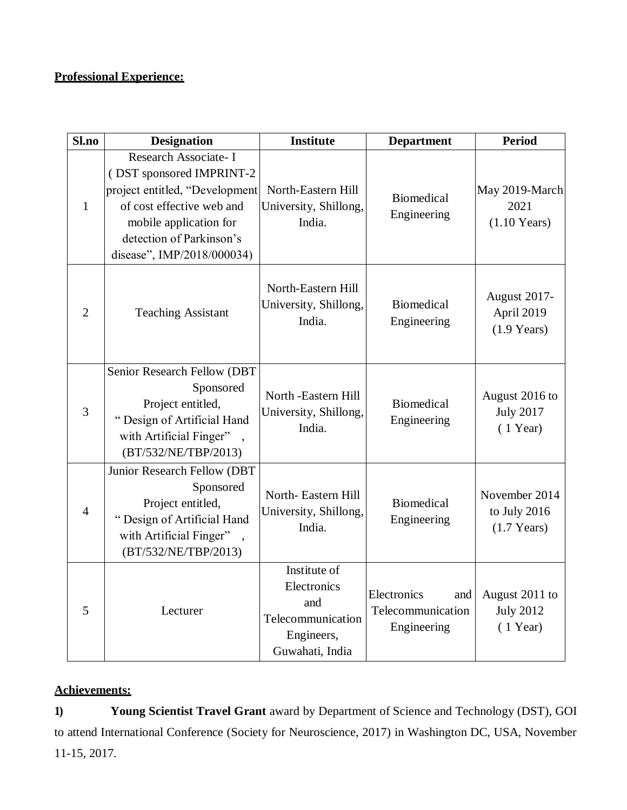# **Professional Experience:**

| Sl.no          | <b>Designation</b>                                                                                                                                                                                   | <b>Institute</b>                                                                         | <b>Department</b>                                      | <b>Period</b>                                          |
|----------------|------------------------------------------------------------------------------------------------------------------------------------------------------------------------------------------------------|------------------------------------------------------------------------------------------|--------------------------------------------------------|--------------------------------------------------------|
| $\mathbf{1}$   | Research Associate- I<br>(DST sponsored IMPRINT-2<br>project entitled, "Development<br>of cost effective web and<br>mobile application for<br>detection of Parkinson's<br>disease", IMP/2018/000034) | North-Eastern Hill<br>University, Shillong,<br>India.                                    | <b>Biomedical</b><br>Engineering                       | May 2019-March<br>2021<br>$(1.10$ Years)               |
| $\overline{2}$ | <b>Teaching Assistant</b>                                                                                                                                                                            | North-Eastern Hill<br>University, Shillong,<br>India.                                    | <b>Biomedical</b><br>Engineering                       | August 2017-<br>April 2019<br>$(1.9 \text{ Years})$    |
| 3              | Senior Research Fellow (DBT<br>Sponsored<br>Project entitled,<br>"Design of Artificial Hand<br>with Artificial Finger"<br>(BT/532/NE/TBP/2013)                                                       | North -Eastern Hill<br>University, Shillong,<br>India.                                   | <b>Biomedical</b><br>Engineering                       | August 2016 to<br><b>July 2017</b><br>$(1$ Year)       |
| $\overline{4}$ | Junior Research Fellow (DBT<br>Sponsored<br>Project entitled,<br>"Design of Artificial Hand<br>with Artificial Finger"<br>(BT/532/NE/TBP/2013)                                                       | North-Eastern Hill<br>University, Shillong,<br>India.                                    | <b>Biomedical</b><br>Engineering                       | November 2014<br>to July 2016<br>$(1.7 \text{ Years})$ |
| 5              | Lecturer                                                                                                                                                                                             | Institute of<br>Electronics<br>and<br>Telecommunication<br>Engineers,<br>Guwahati, India | Electronics<br>and<br>Telecommunication<br>Engineering | August 2011 to<br><b>July 2012</b><br>$(1$ Year)       |

## **Achievements:**

**1) Young Scientist Travel Grant** award by Department of Science and Technology (DST), GOI to attend International Conference (Society for Neuroscience, 2017) in Washington DC, USA, November 11-15, 2017.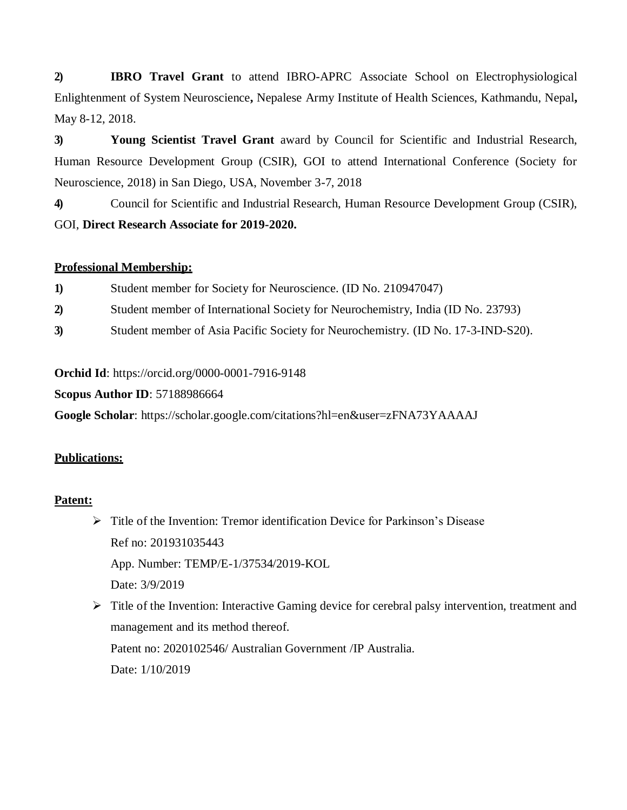**2) IBRO Travel Grant** to attend IBRO-APRC Associate School on Electrophysiological Enlightenment of System Neuroscience**,** Nepalese Army Institute of Health Sciences, Kathmandu, Nepal**,**  May 8-12, 2018.

**3) Young Scientist Travel Grant** award by Council for Scientific and Industrial Research, Human Resource Development Group (CSIR), GOI to attend International Conference (Society for Neuroscience, 2018) in San Diego, USA, November 3-7, 2018

**4)** Council for Scientific and Industrial Research, Human Resource Development Group (CSIR), GOI, **Direct Research Associate for 2019-2020.**

## **Professional Membership:**

| Student member for Society for Neuroscience. (ID No. 210947047)<br>1) |
|-----------------------------------------------------------------------|
|-----------------------------------------------------------------------|

- **2)** Student member of International Society for Neurochemistry, India (ID No. 23793)
- **3)** Student member of Asia Pacific Society for Neurochemistry. (ID No. 17-3-IND-S20).

**Orchid Id**: https://orcid.org/0000-0001-7916-9148

**Scopus Author ID**: 57188986664

**Google Scholar**: https://scholar.google.com/citations?hl=en&user=zFNA73YAAAAJ

## **Publications:**

## **Patent:**

- $\triangleright$  Title of the Invention: Tremor identification Device for Parkinson's Disease Ref no: 201931035443 App. Number: TEMP/E-1/37534/2019-KOL Date: 3/9/2019
- $\triangleright$  Title of the Invention: Interactive Gaming device for cerebral palsy intervention, treatment and management and its method thereof. Patent no: 2020102546/ Australian Government /IP Australia. Date: 1/10/2019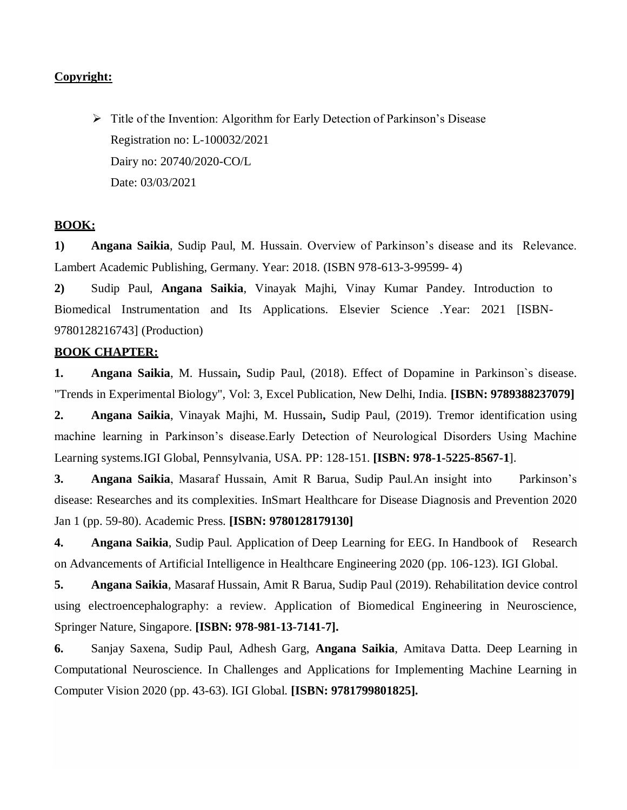### **Copyright:**

 $\triangleright$  Title of the Invention: Algorithm for Early Detection of Parkinson's Disease Registration no: L-100032/2021 Dairy no: 20740/2020-CO/L Date: 03/03/2021

## **BOOK:**

**1) Angana Saikia**, Sudip Paul, M. Hussain. Overview of Parkinson's disease and its Relevance. Lambert Academic Publishing, Germany. Year: 2018. (ISBN 978-613-3-99599- 4)

**2)** Sudip Paul, **Angana Saikia**, Vinayak Majhi, Vinay Kumar Pandey. Introduction to Biomedical Instrumentation and Its Applications. Elsevier Science .Year: 2021 [ISBN-9780128216743] (Production)

#### **BOOK CHAPTER:**

**1. Angana Saikia**, M. Hussain**,** Sudip Paul, (2018). Effect of Dopamine in Parkinson`s disease. "Trends in Experimental Biology", Vol: 3, Excel Publication, New Delhi, India. **[ISBN: 9789388237079]**

**2. Angana Saikia**, Vinayak Majhi, M. Hussain**,** Sudip Paul, (2019). Tremor identification using machine learning in Parkinson's disease.Early Detection of Neurological Disorders Using Machine Learning systems.IGI Global, Pennsylvania, USA. PP: 128-151. **[ISBN: 978-1-5225-8567-1**].

**3. Angana Saikia**, Masaraf Hussain, Amit R Barua, Sudip Paul.An insight into Parkinson's disease: Researches and its complexities. InSmart Healthcare for Disease Diagnosis and Prevention 2020 Jan 1 (pp. 59-80). Academic Press. **[ISBN: 9780128179130]**

**4. Angana Saikia**, Sudip Paul. Application of Deep Learning for EEG. In Handbook of Research on Advancements of Artificial Intelligence in Healthcare Engineering 2020 (pp. 106-123). IGI Global.

**5. Angana Saikia**, Masaraf Hussain, Amit R Barua, Sudip Paul (2019). Rehabilitation device control using electroencephalography: a review. Application of Biomedical Engineering in Neuroscience, Springer Nature, Singapore. **[ISBN: 978-981-13-7141-7].**

**6.** Sanjay Saxena, Sudip Paul, Adhesh Garg, **Angana Saikia**, Amitava Datta. Deep Learning in Computational Neuroscience. In Challenges and Applications for Implementing Machine Learning in Computer Vision 2020 (pp. 43-63). IGI Global. **[ISBN: 9781799801825].**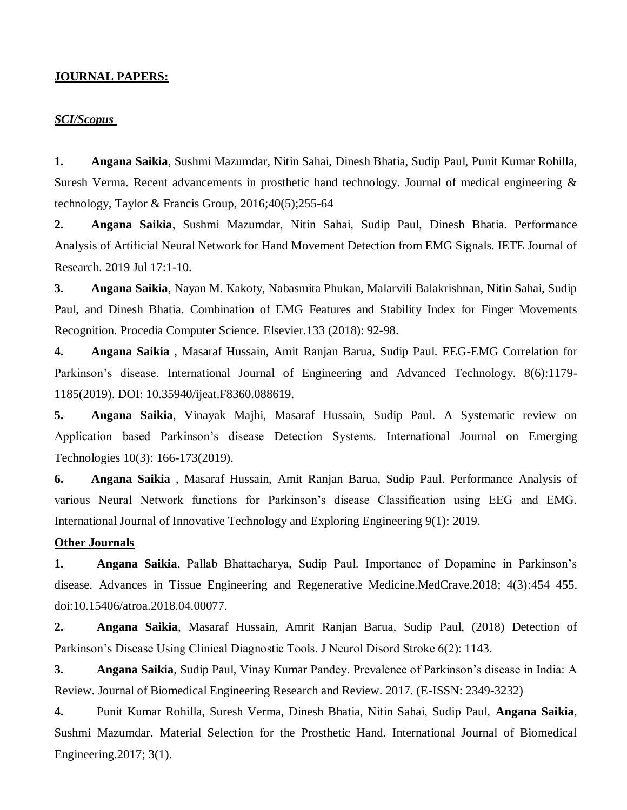#### **JOURNAL PAPERS:**

#### *SCI/Scopus*

**1. Angana Saikia**, Sushmi Mazumdar, Nitin Sahai, Dinesh Bhatia, Sudip Paul, Punit Kumar Rohilla, Suresh Verma. Recent advancements in prosthetic hand technology. Journal of medical engineering  $\&$ technology, Taylor & Francis Group,  $2016;40(5);255-64$ 

**2. Angana Saikia**, Sushmi Mazumdar, Nitin Sahai, Sudip Paul, Dinesh Bhatia. Performance Analysis of Artificial Neural Network for Hand Movement Detection from EMG Signals. IETE Journal of Research. 2019 Jul 17:1-10.

**3. Angana Saikia**, Nayan M. Kakoty, Nabasmita Phukan, Malarvili Balakrishnan, Nitin Sahai, Sudip Paul, and Dinesh Bhatia. Combination of EMG Features and Stability Index for Finger Movements Recognition. Procedia Computer Science*.* Elsevier*.*133 (2018): 92-98.

**4. Angana Saikia** , Masaraf Hussain, Amit Ranjan Barua, Sudip Paul. EEG-EMG Correlation for Parkinson's disease. International Journal of Engineering and Advanced Technology. 8(6):1179- 1185(2019). DOI: 10.35940/ijeat.F8360.088619.

**5. Angana Saikia**, Vinayak Majhi, Masaraf Hussain, Sudip Paul. A Systematic review on Application based Parkinson's disease Detection Systems. International Journal on Emerging Technologies 10(3): 166-173(2019).

**6. Angana Saikia** , Masaraf Hussain, Amit Ranjan Barua, Sudip Paul. Performance Analysis of various Neural Network functions for Parkinson's disease Classification using EEG and EMG. International Journal of Innovative Technology and Exploring Engineering 9(1): 2019.

#### **Other Journals**

**1. Angana Saikia**, Pallab Bhattacharya, Sudip Paul. Importance of Dopamine in Parkinson's disease. Advances in Tissue Engineering and Regenerative Medicine.MedCrave.2018; 4(3):454 455. doi:10.15406/atroa.2018.04.00077.

**2. Angana Saikia**, Masaraf Hussain, Amrit Ranjan Barua, Sudip Paul, (2018) Detection of Parkinson's Disease Using Clinical Diagnostic Tools. J Neurol Disord Stroke 6(2): 1143.

**3. Angana Saikia**, Sudip Paul, Vinay Kumar Pandey. Prevalence of Parkinson's disease in India: A Review. Journal of Biomedical Engineering Research and Review. 2017. (E-ISSN: 2349-3232)

**4.** Punit Kumar Rohilla, Suresh Verma, Dinesh Bhatia, Nitin Sahai, Sudip Paul, **Angana Saikia**, Sushmi Mazumdar. Material Selection for the Prosthetic Hand. International Journal of Biomedical Engineering.2017; 3(1).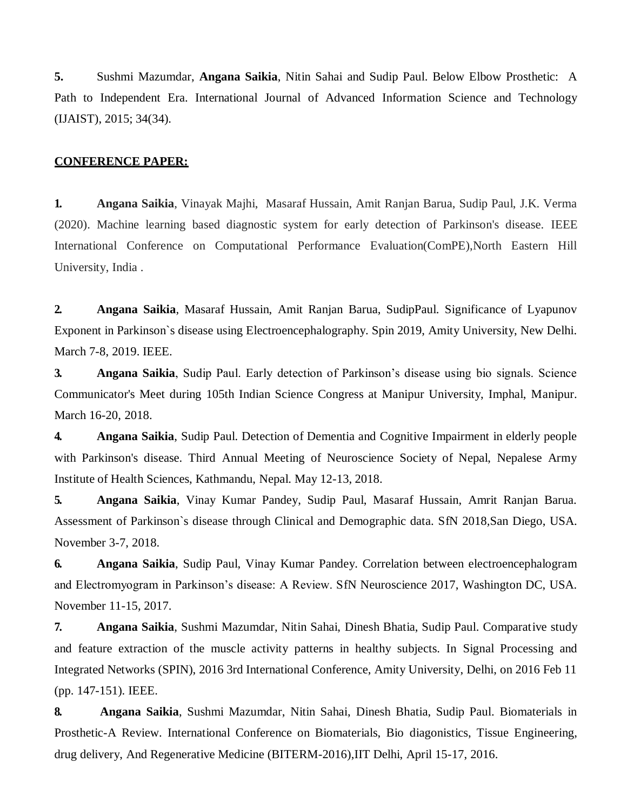**5.** Sushmi Mazumdar, **Angana Saikia**, Nitin Sahai and Sudip Paul. Below Elbow Prosthetic: A Path to Independent Era. International Journal of Advanced Information Science and Technology (IJAIST), 2015; 34(34).

#### **CONFERENCE PAPER:**

**1. Angana Saikia**, Vinayak Majhi, Masaraf Hussain, Amit Ranjan Barua, Sudip Paul, J.K. Verma (2020). Machine learning based diagnostic system for early detection of Parkinson's disease. IEEE International Conference on Computational Performance Evaluation(ComPE),North Eastern Hill University, India .

**2. Angana Saikia**, Masaraf Hussain, Amit Ranjan Barua, SudipPaul. Significance of Lyapunov Exponent in Parkinson`s disease using Electroencephalography. Spin 2019, Amity University, New Delhi. March 7-8, 2019. IEEE.

**3. Angana Saikia**, Sudip Paul. Early detection of Parkinson's disease using bio signals. Science Communicator's Meet during 105th Indian Science Congress at Manipur University, Imphal, Manipur. March 16-20, 2018.

**4. Angana Saikia**, Sudip Paul. Detection of Dementia and Cognitive Impairment in elderly people with Parkinson's disease. Third Annual Meeting of Neuroscience Society of Nepal, Nepalese Army Institute of Health Sciences, Kathmandu, Nepal. May 12-13, 2018.

**5. Angana Saikia**, Vinay Kumar Pandey, Sudip Paul, Masaraf Hussain, Amrit Ranjan Barua. Assessment of Parkinson`s disease through Clinical and Demographic data. SfN 2018*,*San Diego, USA. November 3-7, 2018.

**6. Angana Saikia**, Sudip Paul, Vinay Kumar Pandey. Correlation between electroencephalogram and Electromyogram in Parkinson's disease: A Review. SfN Neuroscience 2017, Washington DC, USA. November 11-15, 2017.

**7. Angana Saikia**, Sushmi Mazumdar, Nitin Sahai, Dinesh Bhatia, Sudip Paul. Comparative study and feature extraction of the muscle activity patterns in healthy subjects. In Signal Processing and Integrated Networks (SPIN), 2016 3rd International Conference, Amity University, Delhi, on 2016 Feb 11 (pp. 147-151). IEEE.

**8. Angana Saikia**, Sushmi Mazumdar, Nitin Sahai, Dinesh Bhatia, Sudip Paul. Biomaterials in Prosthetic-A Review. International Conference on Biomaterials, Bio diagonistics, Tissue Engineering, drug delivery, And Regenerative Medicine (BITERM-2016),IIT Delhi, April 15-17, 2016.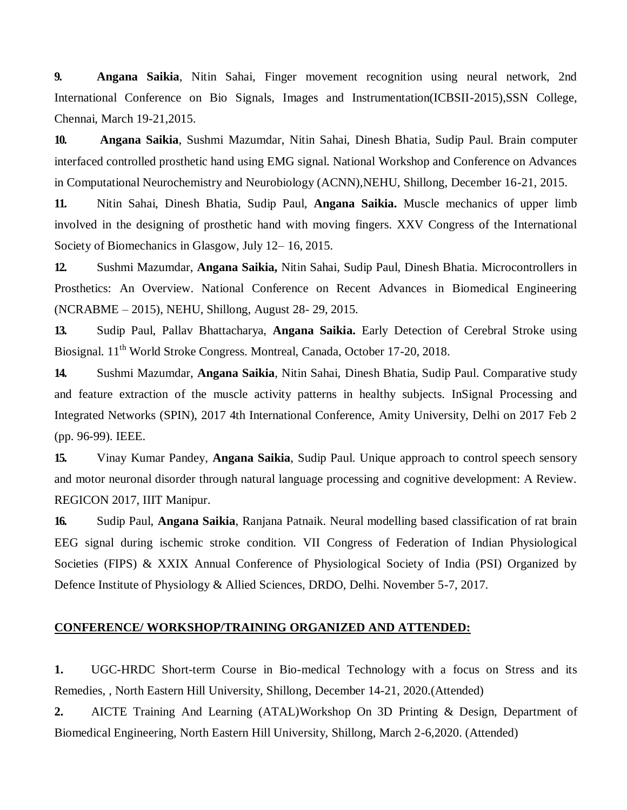**9. Angana Saikia**, Nitin Sahai, Finger movement recognition using neural network, 2nd International Conference on Bio Signals, Images and Instrumentation(ICBSII-2015),SSN College, Chennai, March 19-21,2015.

**10. Angana Saikia**, Sushmi Mazumdar, Nitin Sahai, Dinesh Bhatia, Sudip Paul. Brain computer interfaced controlled prosthetic hand using EMG signal. National Workshop and Conference on Advances in Computational Neurochemistry and Neurobiology (ACNN),NEHU, Shillong, December 16-21, 2015.

**11.** Nitin Sahai, Dinesh Bhatia, Sudip Paul, **Angana Saikia.** Muscle mechanics of upper limb involved in the designing of prosthetic hand with moving fingers. XXV Congress of the International Society of Biomechanics in Glasgow, July 12– 16, 2015.

**12.** Sushmi Mazumdar, **Angana Saikia,** Nitin Sahai, Sudip Paul, Dinesh Bhatia. Microcontrollers in Prosthetics: An Overview. National Conference on Recent Advances in Biomedical Engineering (NCRABME – 2015), NEHU, Shillong, August 28- 29, 2015.

**13.** Sudip Paul, Pallav Bhattacharya, **Angana Saikia.** Early Detection of Cerebral Stroke using Biosignal. 11<sup>th</sup> World Stroke Congress. Montreal, Canada, October 17-20, 2018.

**14.** Sushmi Mazumdar, **Angana Saikia**, Nitin Sahai, Dinesh Bhatia, Sudip Paul. Comparative study and feature extraction of the muscle activity patterns in healthy subjects. InSignal Processing and Integrated Networks (SPIN), 2017 4th International Conference, Amity University, Delhi on 2017 Feb 2 (pp. 96-99). IEEE.

**15.** Vinay Kumar Pandey, **Angana Saikia**, Sudip Paul. Unique approach to control speech sensory and motor neuronal disorder through natural language processing and cognitive development: A Review. REGICON 2017, IIIT Manipur.

**16.** Sudip Paul, **Angana Saikia**, Ranjana Patnaik. Neural modelling based classification of rat brain EEG signal during ischemic stroke condition. VII Congress of Federation of Indian Physiological Societies (FIPS) & XXIX Annual Conference of Physiological Society of India (PSI) Organized by Defence Institute of Physiology & Allied Sciences, DRDO, Delhi. November 5-7, 2017.

### **CONFERENCE/ WORKSHOP/TRAINING ORGANIZED AND ATTENDED:**

**1.** UGC-HRDC Short-term Course in Bio-medical Technology with a focus on Stress and its Remedies, , North Eastern Hill University, Shillong, December 14-21, 2020.(Attended)

**2.** AICTE Training And Learning (ATAL)Workshop On 3D Printing & Design, Department of Biomedical Engineering, North Eastern Hill University, Shillong, March 2-6,2020. (Attended)